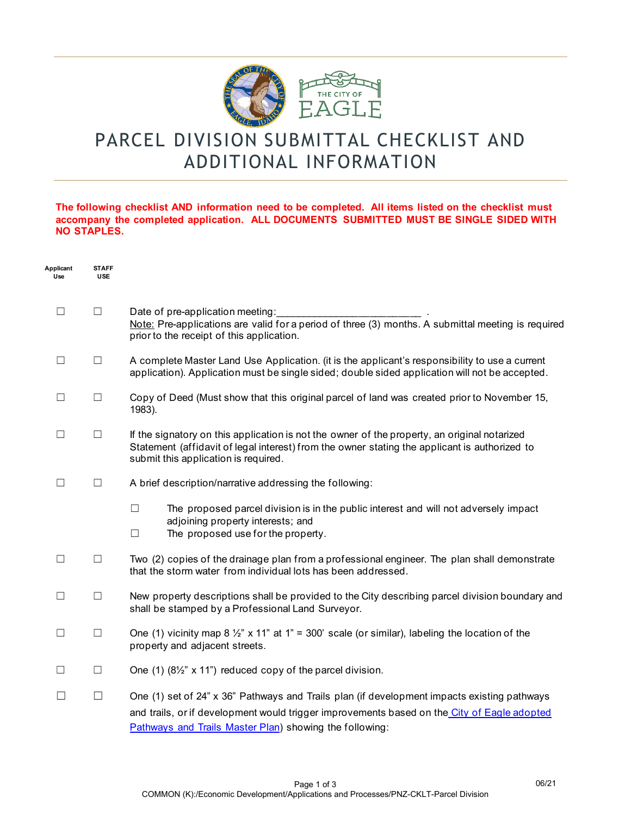

# PARCEL DIVISION SUBMITTAL CHECKLIST AND ADDITIONAL INFORMATION

#### **The following checklist AND information need to be completed. All items listed on the checklist must accompany the completed application. ALL DOCUMENTS SUBMITTED MUST BE SINGLE SIDED WITH NO STAPLES.**

| Applicant<br>Use | <b>STAFF</b><br><b>USE</b> |                                                                                                                                                                                                                                                       |
|------------------|----------------------------|-------------------------------------------------------------------------------------------------------------------------------------------------------------------------------------------------------------------------------------------------------|
| $\Box$           | $\Box$                     | Date of pre-application meeting:<br>Note: Pre-applications are valid for a period of three (3) months. A submittal meeting is required<br>prior to the receipt of this application.                                                                   |
| $\Box$           | $\Box$                     | A complete Master Land Use Application. (it is the applicant's responsibility to use a current<br>application). Application must be single sided; double sided application will not be accepted.                                                      |
|                  | $\Box$                     | Copy of Deed (Must show that this original parcel of land was created prior to November 15,<br>1983).                                                                                                                                                 |
| $\mathsf{L}$     | $\Box$                     | If the signatory on this application is not the owner of the property, an original notarized<br>Statement (affidavit of legal interest) from the owner stating the applicant is authorized to<br>submit this application is required.                 |
| $\Box$           | $\Box$                     | A brief description/narrative addressing the following:                                                                                                                                                                                               |
|                  |                            | $\Box$<br>The proposed parcel division is in the public interest and will not adversely impact<br>adjoining property interests; and<br>The proposed use for the property.<br>□                                                                        |
| □                | $\Box$                     | Two (2) copies of the drainage plan from a professional engineer. The plan shall demonstrate<br>that the storm water from individual lots has been addressed.                                                                                         |
| □                | $\Box$                     | New property descriptions shall be provided to the City describing parcel division boundary and<br>shall be stamped by a Professional Land Surveyor.                                                                                                  |
| □                | $\Box$                     | One (1) vicinity map 8 $\frac{1}{2}$ " x 11" at 1" = 300' scale (or similar), labeling the location of the<br>property and adjacent streets.                                                                                                          |
| $\Box$           | $\Box$                     | One (1) $(8\frac{1}{2}$ " x 11") reduced copy of the parcel division.                                                                                                                                                                                 |
|                  | □                          | One (1) set of 24" x 36" Pathways and Trails plan (if development impacts existing pathways<br>and trails, or if development would trigger improvements based on the City of Eagle adopted<br>Pathways and Trails Master Plan) showing the following: |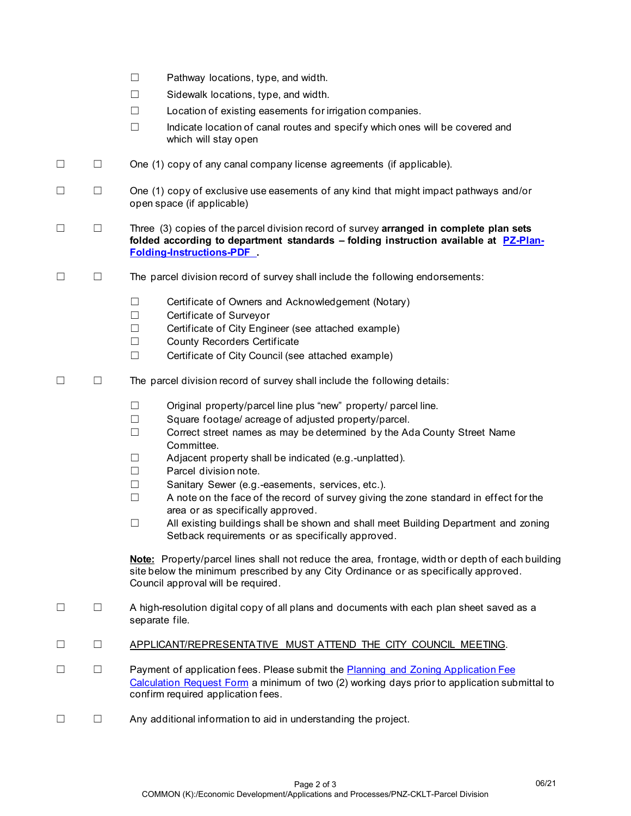|         |        | Pathway locations, type, and width.<br>$\Box$<br>$\Box$<br>Sidewalk locations, type, and width.<br>$\Box$<br>Location of existing easements for irrigation companies.<br>$\Box$<br>Indicate location of canal routes and specify which ones will be covered and<br>which will stay open                                                                                                                                                                                                                                                                                                                                                                                                                     |
|---------|--------|-------------------------------------------------------------------------------------------------------------------------------------------------------------------------------------------------------------------------------------------------------------------------------------------------------------------------------------------------------------------------------------------------------------------------------------------------------------------------------------------------------------------------------------------------------------------------------------------------------------------------------------------------------------------------------------------------------------|
| $\Box$  | $\Box$ | One (1) copy of any canal company license agreements (if applicable).                                                                                                                                                                                                                                                                                                                                                                                                                                                                                                                                                                                                                                       |
| $\Box$  | $\Box$ | One (1) copy of exclusive use easements of any kind that might impact pathways and/or<br>open space (if applicable)                                                                                                                                                                                                                                                                                                                                                                                                                                                                                                                                                                                         |
| $\Box$  | $\Box$ | Three (3) copies of the parcel division record of survey arranged in complete plan sets<br>folded according to department standards - folding instruction available at PZ-Plan-<br><b>Folding-Instructions-PDF</b> .                                                                                                                                                                                                                                                                                                                                                                                                                                                                                        |
| Ш       | $\Box$ | The parcel division record of survey shall include the following endorsements:                                                                                                                                                                                                                                                                                                                                                                                                                                                                                                                                                                                                                              |
|         |        | Certificate of Owners and Acknowledgement (Notary)<br>$\Box$<br>Certificate of Surveyor<br>$\Box$<br>Certificate of City Engineer (see attached example)<br>$\Box$<br><b>County Recorders Certificate</b><br>$\Box$<br>$\Box$<br>Certificate of City Council (see attached example)                                                                                                                                                                                                                                                                                                                                                                                                                         |
| $\perp$ | $\Box$ | The parcel division record of survey shall include the following details:                                                                                                                                                                                                                                                                                                                                                                                                                                                                                                                                                                                                                                   |
|         |        | Original property/parcel line plus "new" property/ parcel line.<br>$\Box$<br>Square footage/acreage of adjusted property/parcel.<br>$\Box$<br>$\Box$<br>Correct street names as may be determined by the Ada County Street Name<br>Committee.<br>Adjacent property shall be indicated (e.g.-unplatted).<br>$\Box$<br>Parcel division note.<br>$\Box$<br>$\Box$<br>Sanitary Sewer (e.g.-easements, services, etc.).<br>$\Box$<br>A note on the face of the record of survey giving the zone standard in effect for the<br>area or as specifically approved.<br>All existing buildings shall be shown and shall meet Building Department and zoning<br>⊔<br>Setback requirements or as specifically approved. |
|         |        | Note: Property/parcel lines shall not reduce the area, frontage, width or depth of each building<br>site below the minimum prescribed by any City Ordinance or as specifically approved.<br>Council approval will be required.                                                                                                                                                                                                                                                                                                                                                                                                                                                                              |
| $\Box$  | $\Box$ | A high-resolution digital copy of all plans and documents with each plan sheet saved as a<br>separate file.                                                                                                                                                                                                                                                                                                                                                                                                                                                                                                                                                                                                 |
|         | $\Box$ | APPLICANT/REPRESENTATIVE MUST ATTEND THE CITY COUNCIL MEETING.                                                                                                                                                                                                                                                                                                                                                                                                                                                                                                                                                                                                                                              |
|         | $\Box$ | Payment of application fees. Please submit the <b>Planning and Zoning Application Fee</b><br>Calculation Request Form a minimum of two (2) working days prior to application submittal to<br>confirm required application fees.                                                                                                                                                                                                                                                                                                                                                                                                                                                                             |
|         | $\Box$ | Any additional information to aid in understanding the project.                                                                                                                                                                                                                                                                                                                                                                                                                                                                                                                                                                                                                                             |